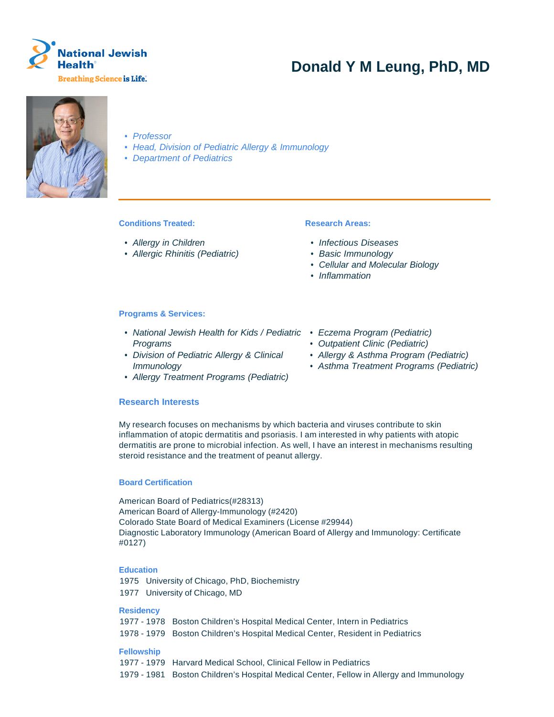

# **Donald Y M Leung, PhD, MD**



- Professor
- Head, Division of Pediatric Allergy & Immunology
- Department of Pediatrics

# **Conditions Treated:**

- Allergy in Children
- Allergic Rhinitis (Pediatric)

# **Research Areas:**

- Infectious Diseases
- Basic Immunology
- Cellular and Molecular Biology
- Inflammation

## **Programs & Services:**

- National Jewish Health for Kids / Pediatric Eczema Program (Pediatric) Programs
- Division of Pediatric Allergy & Clinical Immunology
- Allergy Treatment Programs (Pediatric)

# **Research Interests**

My research focuses on mechanisms by which bacteria and viruses contribute to skin inflammation of atopic dermatitis and psoriasis. I am interested in why patients with atopic dermatitis are prone to microbial infection. As well, I have an interest in mechanisms resulting steroid resistance and the treatment of peanut allergy.

## **Board Certification**

American Board of Pediatrics(#28313) American Board of Allergy-Immunology (#2420) Colorado State Board of Medical Examiners (License #29944) Diagnostic Laboratory Immunology (American Board of Allergy and Immunology: Certificate #0127)

#### **Education**

1975 University of Chicago, PhD, Biochemistry 1977 University of Chicago, MD

**Residency**

1977 - 1978 Boston Children's Hospital Medical Center, Intern in Pediatrics 1978 - 1979 Boston Children's Hospital Medical Center, Resident in Pediatrics

## **Fellowship**

- 1977 1979 Harvard Medical School, Clinical Fellow in Pediatrics
- 1979 1981 Boston Children's Hospital Medical Center, Fellow in Allergy and Immunology
- 
- Outpatient Clinic (Pediatric)
- Allergy & Asthma Program (Pediatric)
- Asthma Treatment Programs (Pediatric)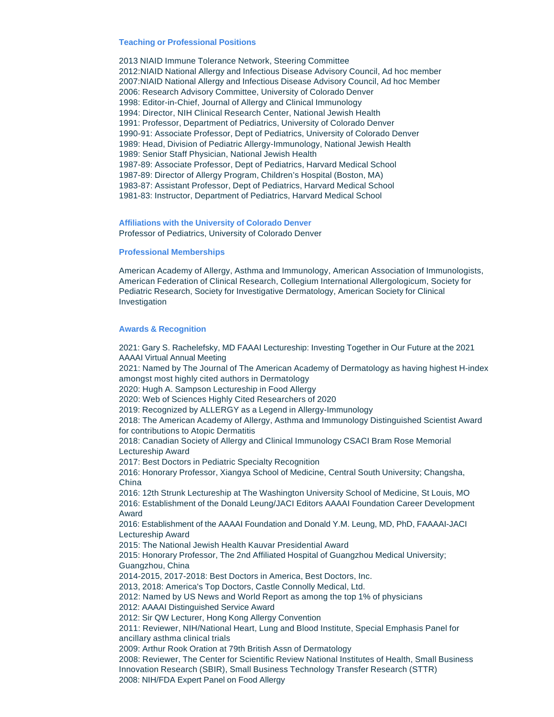#### **Teaching or Professional Positions**

2013 NIAID Immune Tolerance Network, Steering Committee 2012:NIAID National Allergy and Infectious Disease Advisory Council, Ad hoc member 2007:NIAID National Allergy and Infectious Disease Advisory Council, Ad hoc Member 2006: Research Advisory Committee, University of Colorado Denver 1998: Editor-in-Chief, Journal of Allergy and Clinical Immunology 1994: Director, NIH Clinical Research Center, National Jewish Health 1991: Professor, Department of Pediatrics, University of Colorado Denver 1990-91: Associate Professor, Dept of Pediatrics, University of Colorado Denver 1989: Head, Division of Pediatric Allergy-Immunology, National Jewish Health 1989: Senior Staff Physician, National Jewish Health 1987-89: Associate Professor, Dept of Pediatrics, Harvard Medical School 1987-89: Director of Allergy Program, Children's Hospital (Boston, MA) 1983-87: Assistant Professor, Dept of Pediatrics, Harvard Medical School 1981-83: Instructor, Department of Pediatrics, Harvard Medical School

**Affiliations with the University of Colorado Denver** Professor of Pediatrics, University of Colorado Denver

#### **Professional Memberships**

American Academy of Allergy, Asthma and Immunology, American Association of Immunologists, American Federation of Clinical Research, Collegium International Allergologicum, Society for Pediatric Research, Society for Investigative Dermatology, American Society for Clinical Investigation

### **Awards & Recognition**

2021: Gary S. Rachelefsky, MD FAAAI Lectureship: Investing Together in Our Future at the 2021 AAAAI Virtual Annual Meeting 2021: Named by The Journal of The American Academy of Dermatology as having highest H-index amongst most highly cited authors in Dermatology 2020: Hugh A. Sampson Lectureship in Food Allergy 2020: Web of Sciences Highly Cited Researchers of 2020 2019: Recognized by ALLERGY as a Legend in Allergy-Immunology 2018: The American Academy of Allergy, Asthma and Immunology Distinguished Scientist Award for contributions to Atopic Dermatitis 2018: Canadian Society of Allergy and Clinical Immunology CSACI Bram Rose Memorial Lectureship Award 2017: Best Doctors in Pediatric Specialty Recognition 2016: Honorary Professor, Xiangya School of Medicine, Central South University; Changsha, China 2016: 12th Strunk Lectureship at The Washington University School of Medicine, St Louis, MO 2016: Establishment of the Donald Leung/JACI Editors AAAAI Foundation Career Development Award 2016: Establishment of the AAAAI Foundation and Donald Y.M. Leung, MD, PhD, FAAAAI-JACI Lectureship Award 2015: The National Jewish Health Kauvar Presidential Award 2015: Honorary Professor, The 2nd Affiliated Hospital of Guangzhou Medical University; Guangzhou, China 2014-2015, 2017-2018: Best Doctors in America, Best Doctors, Inc. 2013, 2018: America's Top Doctors, Castle Connolly Medical, Ltd. 2012: Named by US News and World Report as among the top 1% of physicians 2012: AAAAI Distinguished Service Award 2012: Sir QW Lecturer, Hong Kong Allergy Convention 2011: Reviewer, NIH/National Heart, Lung and Blood Institute, Special Emphasis Panel for ancillary asthma clinical trials 2009: Arthur Rook Oration at 79th British Assn of Dermatology 2008: Reviewer, The Center for Scientific Review National Institutes of Health, Small Business Innovation Research (SBIR), Small Business Technology Transfer Research (STTR)

2008: NIH/FDA Expert Panel on Food Allergy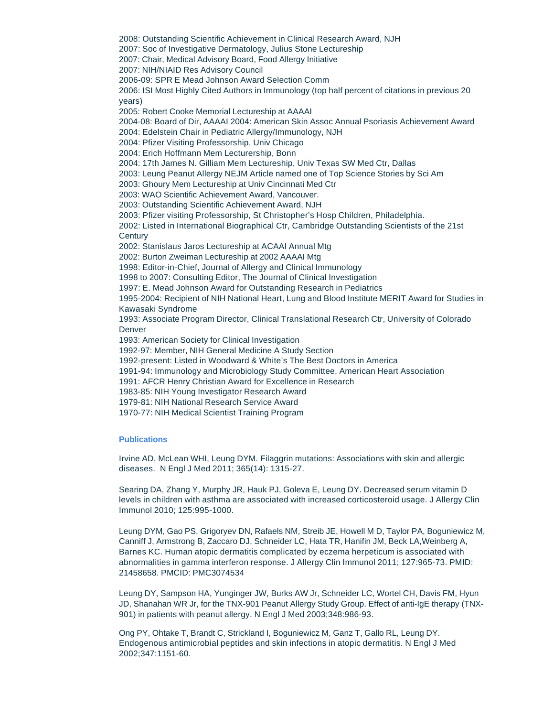2008: Outstanding Scientific Achievement in Clinical Research Award, NJH

2007: Soc of Investigative Dermatology, Julius Stone Lectureship

2007: Chair, Medical Advisory Board, Food Allergy Initiative

2007: NIH/NIAID Res Advisory Council

2006-09: SPR E Mead Johnson Award Selection Comm

2006: ISI Most Highly Cited Authors in Immunology (top half percent of citations in previous 20 years)

2005: Robert Cooke Memorial Lectureship at AAAAI

2004-08: Board of Dir, AAAAI 2004: American Skin Assoc Annual Psoriasis Achievement Award 2004: Edelstein Chair in Pediatric Allergy/Immunology, NJH

2004: Pfizer Visiting Professorship, Univ Chicago

2004: Erich Hoffmann Mem Lecturership, Bonn

2004: 17th James N. Gilliam Mem Lectureship, Univ Texas SW Med Ctr, Dallas

2003: Leung Peanut Allergy NEJM Article named one of Top Science Stories by Sci Am

2003: Ghoury Mem Lectureship at Univ Cincinnati Med Ctr

2003: WAO Scientific Achievement Award, Vancouver.

2003: Outstanding Scientific Achievement Award, NJH

2003: Pfizer visiting Professorship, St Christopher's Hosp Children, Philadelphia.

2002: Listed in International Biographical Ctr, Cambridge Outstanding Scientists of the 21st **Century** 

2002: Stanislaus Jaros Lectureship at ACAAI Annual Mtg

2002: Burton Zweiman Lectureship at 2002 AAAAI Mtg

1998: Editor-in-Chief, Journal of Allergy and Clinical Immunology

1998 to 2007: Consulting Editor, The Journal of Clinical Investigation

1997: E. Mead Johnson Award for Outstanding Research in Pediatrics

1995-2004: Recipient of NIH National Heart, Lung and Blood Institute MERIT Award for Studies in Kawasaki Syndrome

1993: Associate Program Director, Clinical Translational Research Ctr, University of Colorado Denver

1993: American Society for Clinical Investigation

1992-97: Member, NIH General Medicine A Study Section

1992-present: Listed in Woodward & White's The Best Doctors in America

1991-94: Immunology and Microbiology Study Committee, American Heart Association

1991: AFCR Henry Christian Award for Excellence in Research

1983-85: NIH Young Investigator Research Award

1979-81: NIH National Research Service Award

1970-77: NIH Medical Scientist Training Program

#### **Publications**

Irvine AD, McLean WHI, Leung DYM. Filaggrin mutations: Associations with skin and allergic diseases. N Engl J Med 2011; 365(14): 1315-27.

Searing DA, Zhang Y, Murphy JR, Hauk PJ, Goleva E, Leung DY. Decreased serum vitamin D levels in children with asthma are associated with increased corticosteroid usage. J Allergy Clin Immunol 2010; 125:995-1000.

Leung DYM, Gao PS, Grigoryev DN, Rafaels NM, Streib JE, Howell M D, Taylor PA, Boguniewicz M, Canniff J, Armstrong B, Zaccaro DJ, Schneider LC, Hata TR, Hanifin JM, Beck LA,Weinberg A, Barnes KC. Human atopic dermatitis complicated by eczema herpeticum is associated with abnormalities in gamma interferon response. J Allergy Clin Immunol 2011; 127:965-73. PMID: 21458658. PMCID: PMC3074534

Leung DY, Sampson HA, Yunginger JW, Burks AW Jr, Schneider LC, Wortel CH, Davis FM, Hyun JD, Shanahan WR Jr, for the TNX-901 Peanut Allergy Study Group. Effect of anti-IgE therapy (TNX-901) in patients with peanut allergy. N Engl J Med 2003;348:986-93.

Ong PY, Ohtake T, Brandt C, Strickland I, Boguniewicz M, Ganz T, Gallo RL, Leung DY. Endogenous antimicrobial peptides and skin infections in atopic dermatitis. N Engl J Med 2002;347:1151-60.